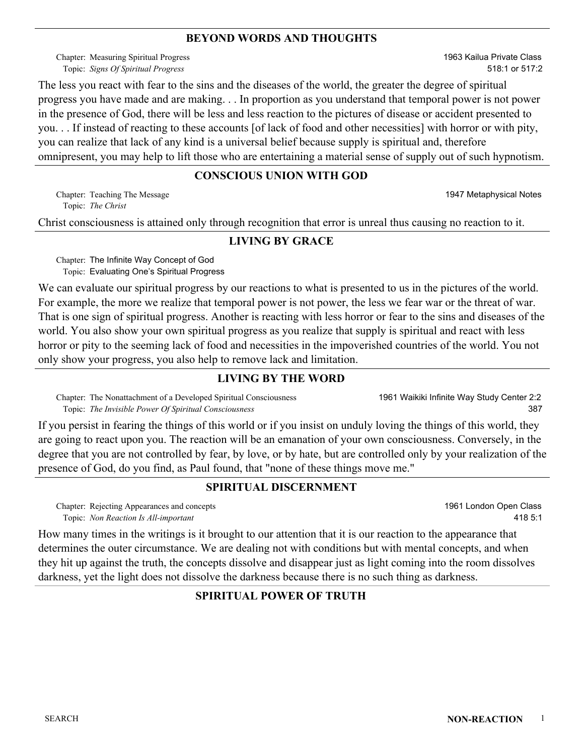#### **BEYOND WORDS AND THOUGHTS**

Chapter: Measuring Spiritual Progress *Signs Of Spiritual Progress* Topic:

1963 Kailua Private Class 518:1 or 517:2

The less you react with fear to the sins and the diseases of the world, the greater the degree of spiritual progress you have made and are making. . . In proportion as you understand that temporal power is not power in the presence of God, there will be less and less reaction to the pictures of disease or accident presented to you. . . If instead of reacting to these accounts [of lack of food and other necessities] with horror or with pity, you can realize that lack of any kind is a universal belief because supply is spiritual and, therefore omnipresent, you may help to lift those who are entertaining a material sense of supply out of such hypnotism.

#### **CONSCIOUS UNION WITH GOD**

Teaching The Message Chapter: 1947 Metaphysical Notes *The Christ* Topic:

Christ consciousness is attained only through recognition that error is unreal thus causing no reaction to it.

#### **LIVING BY GRACE**

Chapter: The Infinite Way Concept of God Topic: Evaluating One's Spiritual Progress

We can evaluate our spiritual progress by our reactions to what is presented to us in the pictures of the world. For example, the more we realize that temporal power is not power, the less we fear war or the threat of war. That is one sign of spiritual progress. Another is reacting with less horror or fear to the sins and diseases of the world. You also show your own spiritual progress as you realize that supply is spiritual and react with less horror or pity to the seeming lack of food and necessities in the impoverished countries of the world. You not only show your progress, you also help to remove lack and limitation.

#### **LIVING BY THE WORD**

Chapter: The Nonattachment of a Developed Spiritual Consciousness *The Invisible Power Of Spiritual Consciousness* Topic:

1961 Waikiki Infinite Way Study Center 2:2 387

If you persist in fearing the things of this world or if you insist on unduly loving the things of this world, they are going to react upon you. The reaction will be an emanation of your own consciousness. Conversely, in the degree that you are not controlled by fear, by love, or by hate, but are controlled only by your realization of the presence of God, do you find, as Paul found, that "none of these things move me."

#### **SPIRITUAL DISCERNMENT**

Chapter: Rejecting Appearances and concepts *Non Reaction Is All-important* Topic:

1961 London Open Class 418 5:1

How many times in the writings is it brought to our attention that it is our reaction to the appearance that determines the outer circumstance. We are dealing not with conditions but with mental concepts, and when they hit up against the truth, the concepts dissolve and disappear just as light coming into the room dissolves darkness, yet the light does not dissolve the darkness because there is no such thing as darkness.

#### **SPIRITUAL POWER OF TRUTH**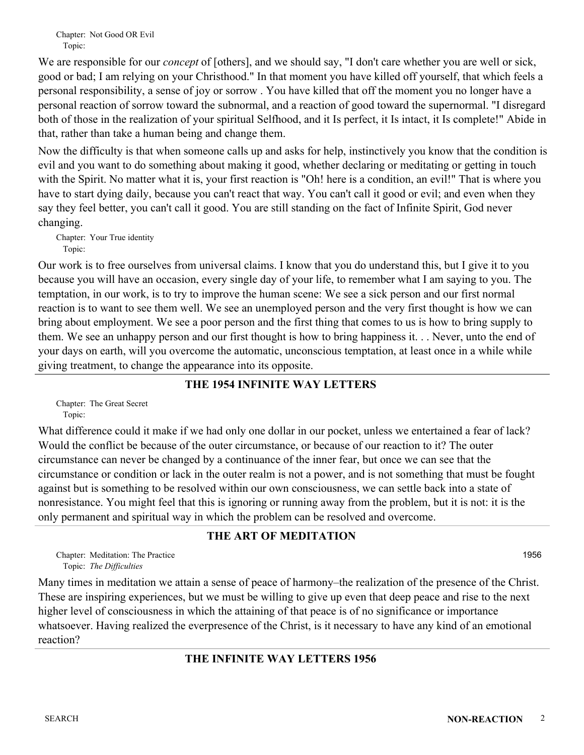Chapter: Not Good OR Evil Topic:

We are responsible for our *concept* of [others], and we should say, "I don't care whether you are well or sick, good or bad; I am relying on your Christhood." In that moment you have killed off yourself, that which feels a personal responsibility, a sense of joy or sorrow . You have killed that off the moment you no longer have a personal reaction of sorrow toward the subnormal, and a reaction of good toward the supernormal. "I disregard both of those in the realization of your spiritual Selfhood, and it Is perfect, it Is intact, it Is complete!" Abide in that, rather than take a human being and change them.

Now the difficulty is that when someone calls up and asks for help, instinctively you know that the condition is evil and you want to do something about making it good, whether declaring or meditating or getting in touch with the Spirit. No matter what it is, your first reaction is "Oh! here is a condition, an evil!" That is where you have to start dying daily, because you can't react that way. You can't call it good or evil; and even when they say they feel better, you can't call it good. You are still standing on the fact of Infinite Spirit, God never changing.

Chapter: Your True identity Topic:

Our work is to free ourselves from universal claims. I know that you do understand this, but I give it to you because you will have an occasion, every single day of your life, to remember what I am saying to you. The temptation, in our work, is to try to improve the human scene: We see a sick person and our first normal reaction is to want to see them well. We see an unemployed person and the very first thought is how we can bring about employment. We see a poor person and the first thing that comes to us is how to bring supply to them. We see an unhappy person and our first thought is how to bring happiness it. . . Never, unto the end of your days on earth, will you overcome the automatic, unconscious temptation, at least once in a while while giving treatment, to change the appearance into its opposite.

## **THE 1954 INFINITE WAY LETTERS**

Chapter: The Great Secret Topic:

What difference could it make if we had only one dollar in our pocket, unless we entertained a fear of lack? Would the conflict be because of the outer circumstance, or because of our reaction to it? The outer circumstance can never be changed by a continuance of the inner fear, but once we can see that the circumstance or condition or lack in the outer realm is not a power, and is not something that must be fought against but is something to be resolved within our own consciousness, we can settle back into a state of nonresistance. You might feel that this is ignoring or running away from the problem, but it is not: it is the only permanent and spiritual way in which the problem can be resolved and overcome.

## **THE ART OF MEDITATION**

Chapter: Meditation: The Practice **and School Chapter: 1956 1956** *The Difficulties* Topic:

Many times in meditation we attain a sense of peace of harmony–the realization of the presence of the Christ. These are inspiring experiences, but we must be willing to give up even that deep peace and rise to the next higher level of consciousness in which the attaining of that peace is of no significance or importance whatsoever. Having realized the everpresence of the Christ, is it necessary to have any kind of an emotional reaction?

## **THE INFINITE WAY LETTERS 1956**